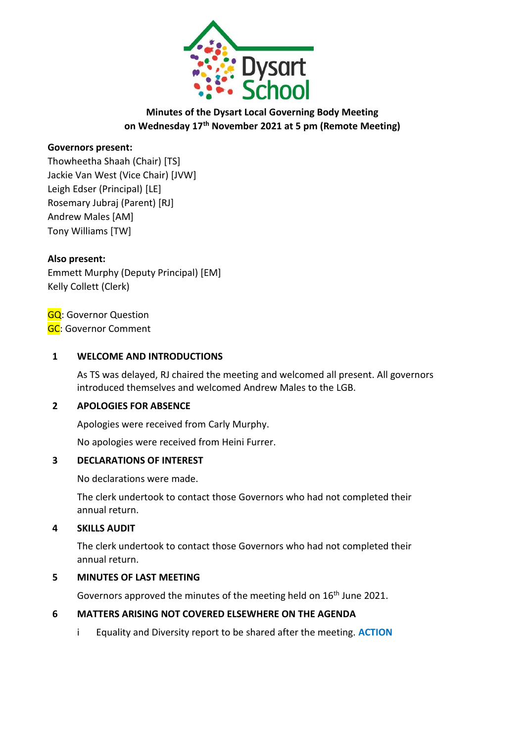

# **Minutes of the Dysart Local Governing Body Meeting on Wednesday 17th November 2021 at 5 pm (Remote Meeting)**

### **Governors present:**

Thowheetha Shaah (Chair) [TS] Jackie Van West (Vice Chair) [JVW] Leigh Edser (Principal) [LE] Rosemary Jubraj (Parent) [RJ] Andrew Males [AM] Tony Williams [TW]

### **Also present:**

Emmett Murphy (Deputy Principal) [EM] Kelly Collett (Clerk)

GQ: Governor Question **GC: Governor Comment** 

### **1 WELCOME AND INTRODUCTIONS**

As TS was delayed, RJ chaired the meeting and welcomed all present. All governors introduced themselves and welcomed Andrew Males to the LGB.

### **2 APOLOGIES FOR ABSENCE**

Apologies were received from Carly Murphy.

No apologies were received from Heini Furrer.

### **3 DECLARATIONS OF INTEREST**

No declarations were made.

The clerk undertook to contact those Governors who had not completed their annual return.

### **4 SKILLS AUDIT**

The clerk undertook to contact those Governors who had not completed their annual return.

### **5 MINUTES OF LAST MEETING**

Governors approved the minutes of the meeting held on 16<sup>th</sup> June 2021.

## **6 MATTERS ARISING NOT COVERED ELSEWHERE ON THE AGENDA**

i Equality and Diversity report to be shared after the meeting. **ACTION**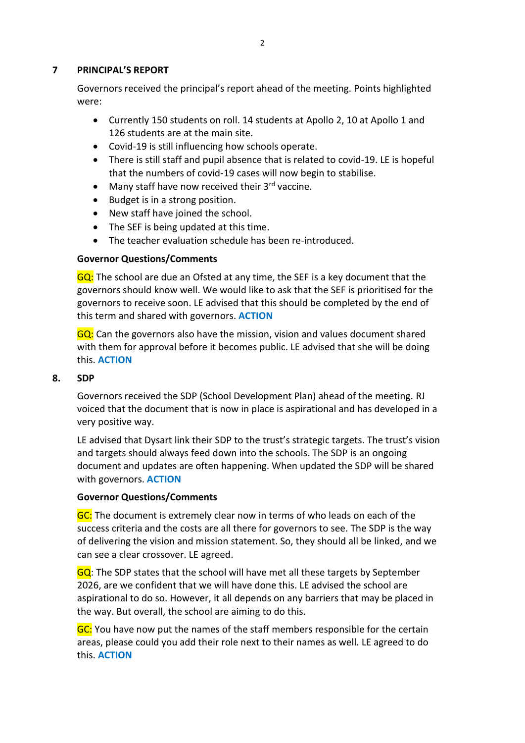### **7 PRINCIPAL'S REPORT**

Governors received the principal's report ahead of the meeting. Points highlighted were:

- Currently 150 students on roll. 14 students at Apollo 2, 10 at Apollo 1 and 126 students are at the main site.
- Covid-19 is still influencing how schools operate.
- There is still staff and pupil absence that is related to covid-19. LE is hopeful that the numbers of covid-19 cases will now begin to stabilise.
- Many staff have now received their  $3<sup>rd</sup>$  vaccine.
- Budget is in a strong position.
- New staff have joined the school.
- The SEF is being updated at this time.
- The teacher evaluation schedule has been re-introduced.

### **Governor Questions/Comments**

GQ: The school are due an Ofsted at any time, the SEF is a key document that the governors should know well. We would like to ask that the SEF is prioritised for the governors to receive soon. LE advised that this should be completed by the end of this term and shared with governors. **ACTION**

GQ: Can the governors also have the mission, vision and values document shared with them for approval before it becomes public. LE advised that she will be doing this. **ACTION**

#### **8. SDP**

Governors received the SDP (School Development Plan) ahead of the meeting. RJ voiced that the document that is now in place is aspirational and has developed in a very positive way.

LE advised that Dysart link their SDP to the trust's strategic targets. The trust's vision and targets should always feed down into the schools. The SDP is an ongoing document and updates are often happening. When updated the SDP will be shared with governors. **ACTION**

### **Governor Questions/Comments**

GC: The document is extremely clear now in terms of who leads on each of the success criteria and the costs are all there for governors to see. The SDP is the way of delivering the vision and mission statement. So, they should all be linked, and we can see a clear crossover. LE agreed.

GQ: The SDP states that the school will have met all these targets by September 2026, are we confident that we will have done this. LE advised the school are aspirational to do so. However, it all depends on any barriers that may be placed in the way. But overall, the school are aiming to do this.

GC: You have now put the names of the staff members responsible for the certain areas, please could you add their role next to their names as well. LE agreed to do this. **ACTION**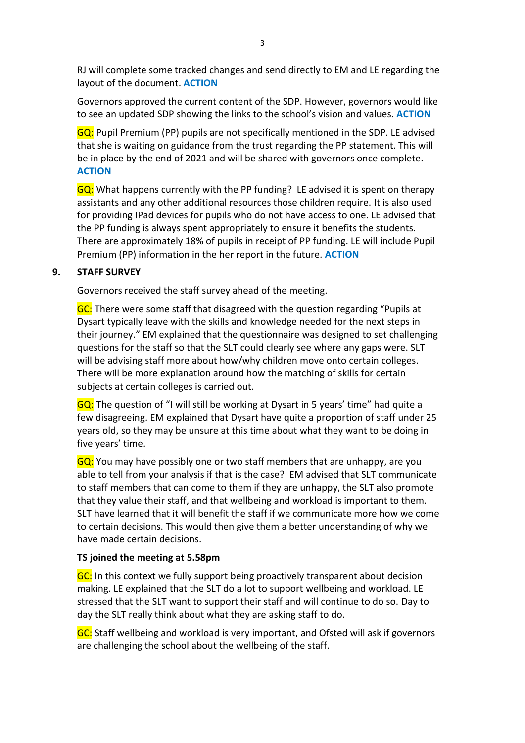RJ will complete some tracked changes and send directly to EM and LE regarding the layout of the document. **ACTION**

Governors approved the current content of the SDP. However, governors would like to see an updated SDP showing the links to the school's vision and values. **ACTION**

GQ: Pupil Premium (PP) pupils are not specifically mentioned in the SDP. LE advised that she is waiting on guidance from the trust regarding the PP statement. This will be in place by the end of 2021 and will be shared with governors once complete. **ACTION**

GQ: What happens currently with the PP funding? LE advised it is spent on therapy assistants and any other additional resources those children require. It is also used for providing IPad devices for pupils who do not have access to one. LE advised that the PP funding is always spent appropriately to ensure it benefits the students. There are approximately 18% of pupils in receipt of PP funding. LE will include Pupil Premium (PP) information in the her report in the future. **ACTION**

## **9. STAFF SURVEY**

Governors received the staff survey ahead of the meeting.

GC: There were some staff that disagreed with the question regarding "Pupils at Dysart typically leave with the skills and knowledge needed for the next steps in their journey." EM explained that the questionnaire was designed to set challenging questions for the staff so that the SLT could clearly see where any gaps were. SLT will be advising staff more about how/why children move onto certain colleges. There will be more explanation around how the matching of skills for certain subjects at certain colleges is carried out.

GQ: The question of "I will still be working at Dysart in 5 years' time" had quite a few disagreeing. EM explained that Dysart have quite a proportion of staff under 25 years old, so they may be unsure at this time about what they want to be doing in five years' time.

GQ: You may have possibly one or two staff members that are unhappy, are you able to tell from your analysis if that is the case? EM advised that SLT communicate to staff members that can come to them if they are unhappy, the SLT also promote that they value their staff, and that wellbeing and workload is important to them. SLT have learned that it will benefit the staff if we communicate more how we come to certain decisions. This would then give them a better understanding of why we have made certain decisions.

### **TS joined the meeting at 5.58pm**

GC: In this context we fully support being proactively transparent about decision making. LE explained that the SLT do a lot to support wellbeing and workload. LE stressed that the SLT want to support their staff and will continue to do so. Day to day the SLT really think about what they are asking staff to do.

GC: Staff wellbeing and workload is very important, and Ofsted will ask if governors are challenging the school about the wellbeing of the staff.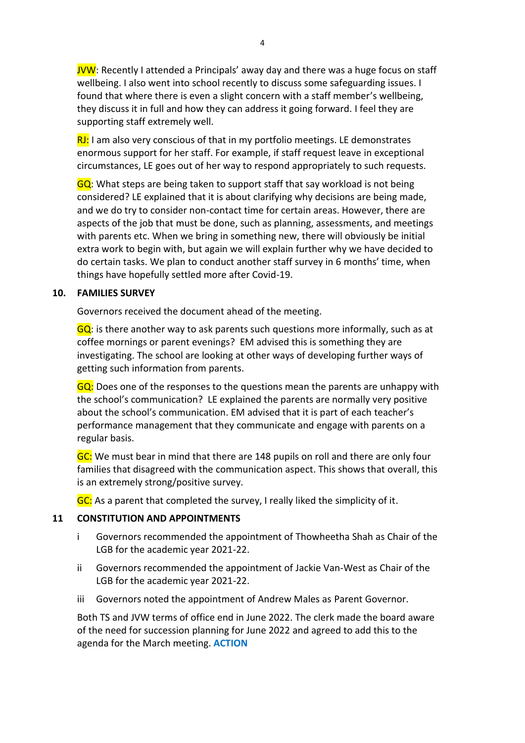JVW: Recently I attended a Principals' away day and there was a huge focus on staff wellbeing. I also went into school recently to discuss some safeguarding issues. I found that where there is even a slight concern with a staff member's wellbeing, they discuss it in full and how they can address it going forward. I feel they are supporting staff extremely well.

 $RJ:$  I am also very conscious of that in my portfolio meetings. LE demonstrates enormous support for her staff. For example, if staff request leave in exceptional circumstances, LE goes out of her way to respond appropriately to such requests.

GQ: What steps are being taken to support staff that say workload is not being considered? LE explained that it is about clarifying why decisions are being made, and we do try to consider non-contact time for certain areas. However, there are aspects of the job that must be done, such as planning, assessments, and meetings with parents etc. When we bring in something new, there will obviously be initial extra work to begin with, but again we will explain further why we have decided to do certain tasks. We plan to conduct another staff survey in 6 months' time, when things have hopefully settled more after Covid-19.

### **10. FAMILIES SURVEY**

Governors received the document ahead of the meeting.

 $GQ$ : is there another way to ask parents such questions more informally, such as at coffee mornings or parent evenings? EM advised this is something they are investigating. The school are looking at other ways of developing further ways of getting such information from parents.

GQ: Does one of the responses to the questions mean the parents are unhappy with the school's communication? LE explained the parents are normally very positive about the school's communication. EM advised that it is part of each teacher's performance management that they communicate and engage with parents on a regular basis.

GC: We must bear in mind that there are 148 pupils on roll and there are only four families that disagreed with the communication aspect. This shows that overall, this is an extremely strong/positive survey.

GC: As a parent that completed the survey, I really liked the simplicity of it.

### **11 CONSTITUTION AND APPOINTMENTS**

- i Governors recommended the appointment of Thowheetha Shah as Chair of the LGB for the academic year 2021-22.
- ii Governors recommended the appointment of Jackie Van-West as Chair of the LGB for the academic year 2021-22.
- iii Governors noted the appointment of Andrew Males as Parent Governor.

Both TS and JVW terms of office end in June 2022. The clerk made the board aware of the need for succession planning for June 2022 and agreed to add this to the agenda for the March meeting. **ACTION**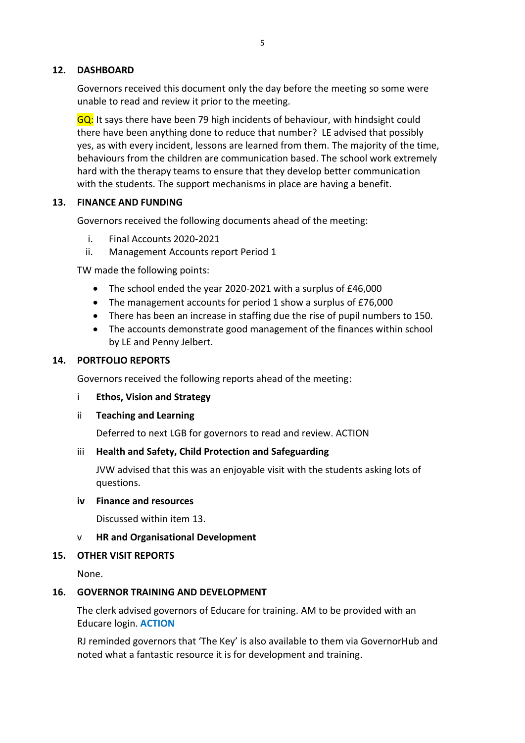### **12. DASHBOARD**

Governors received this document only the day before the meeting so some were unable to read and review it prior to the meeting.

GQ: It says there have been 79 high incidents of behaviour, with hindsight could there have been anything done to reduce that number? LE advised that possibly yes, as with every incident, lessons are learned from them. The majority of the time, behaviours from the children are communication based. The school work extremely hard with the therapy teams to ensure that they develop better communication with the students. The support mechanisms in place are having a benefit.

### **13. FINANCE AND FUNDING**

Governors received the following documents ahead of the meeting:

- i. Final Accounts 2020-2021
- ii. Management Accounts report Period 1

TW made the following points:

- The school ended the year 2020-2021 with a surplus of £46,000
- The management accounts for period 1 show a surplus of £76,000
- There has been an increase in staffing due the rise of pupil numbers to 150.
- The accounts demonstrate good management of the finances within school by LE and Penny Jelbert.

### **14. PORTFOLIO REPORTS**

Governors received the following reports ahead of the meeting:

- i **Ethos, Vision and Strategy**
- ii **Teaching and Learning**

Deferred to next LGB for governors to read and review. ACTION

### iii **Health and Safety, Child Protection and Safeguarding**

JVW advised that this was an enjoyable visit with the students asking lots of questions.

### **iv Finance and resources**

Discussed within item 13.

### v **HR and Organisational Development**

### **15. OTHER VISIT REPORTS**

None.

### **16. GOVERNOR TRAINING AND DEVELOPMENT**

The clerk advised governors of Educare for training. AM to be provided with an Educare login. **ACTION**

RJ reminded governors that 'The Key' is also available to them via GovernorHub and noted what a fantastic resource it is for development and training.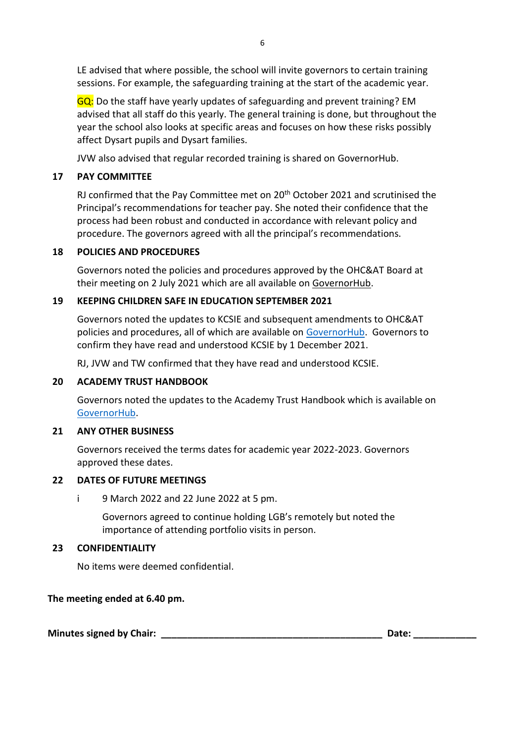LE advised that where possible, the school will invite governors to certain training sessions. For example, the safeguarding training at the start of the academic year.

GQ: Do the staff have yearly updates of safeguarding and prevent training? EM advised that all staff do this yearly. The general training is done, but throughout the year the school also looks at specific areas and focuses on how these risks possibly affect Dysart pupils and Dysart families.

JVW also advised that regular recorded training is shared on GovernorHub.

## **17 PAY COMMITTEE**

RJ confirmed that the Pay Committee met on 20<sup>th</sup> October 2021 and scrutinised the Principal's recommendations for teacher pay. She noted their confidence that the process had been robust and conducted in accordance with relevant policy and procedure. The governors agreed with all the principal's recommendations.

### **18 POLICIES AND PROCEDURES**

Governors noted the policies and procedures approved by the OHC&AT Board at their meeting on 2 July 2021 which are all available on [GovernorHub.](https://app.governorhub.com/s/orchardhillcollegeacademytrust/resources/5d9f088b0f950f83971c88c8)

### **19 KEEPING CHILDREN SAFE IN EDUCATION SEPTEMBER 2021**

Governors noted the updates to KCSIE and subsequent amendments to OHC&AT policies and procedures, all of which are available on [GovernorHub.](https://app.governorhub.com/s/orchardhillcollegeacademytrust/resources/5d9f088b0f950f83971c88c8) Governors to confirm they have read and understood KCSIE by 1 December 2021.

RJ, JVW and TW confirmed that they have read and understood KCSIE.

### **20 ACADEMY TRUST HANDBOOK**

Governors noted the updates to the Academy Trust Handbook which is available on [GovernorHub.](https://app.governorhub.com/s/orchardhillcollegeacademytrust/resources/5d2858270e7dbcadd096ee7e)

### **21 ANY OTHER BUSINESS**

Governors received the terms dates for academic year 2022-2023. Governors approved these dates.

### **22 DATES OF FUTURE MEETINGS**

i 9 March 2022 and 22 June 2022 at 5 pm.

Governors agreed to continue holding LGB's remotely but noted the importance of attending portfolio visits in person.

### **23 CONFIDENTIALITY**

No items were deemed confidential.

### **The meeting ended at 6.40 pm.**

**Minutes signed by Chair: \_\_\_\_\_\_\_\_\_\_\_\_\_\_\_\_\_\_\_\_\_\_\_\_\_\_\_\_\_\_\_\_\_\_\_\_\_\_\_\_\_\_ Date: \_\_\_\_\_\_\_\_\_\_\_\_**